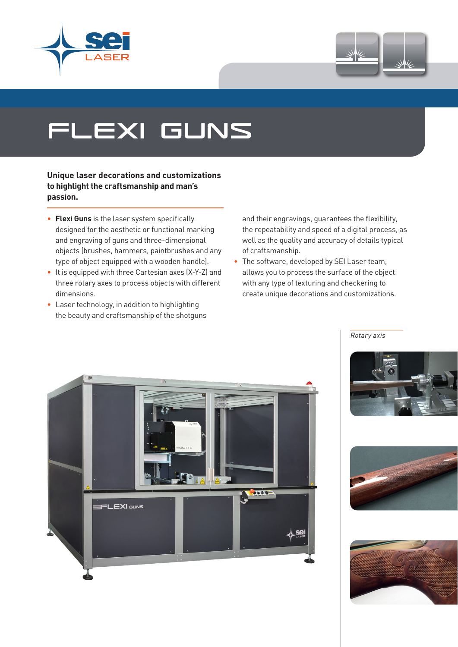



## flexi guns

**Unique laser decorations and customizations to highlight the craftsmanship and man's passion.**

- **Flexi Guns** is the laser system specifically designed for the aesthetic or functional marking and engraving of guns and three-dimensional objects (brushes, hammers, paintbrushes and any type of object equipped with a wooden handle).
- It is equipped with three Cartesian axes (X-Y-Z) and three rotary axes to process objects with different dimensions.
- Laser technology, in addition to highlighting the beauty and craftsmanship of the shotguns

and their engravings, guarantees the flexibility, the repeatability and speed of a digital process, as well as the quality and accuracy of details typical of craftsmanship.

• The software, developed by SEI Laser team, allows you to process the surface of the object with any type of texturing and checkering to create unique decorations and customizations.





Rotary axis